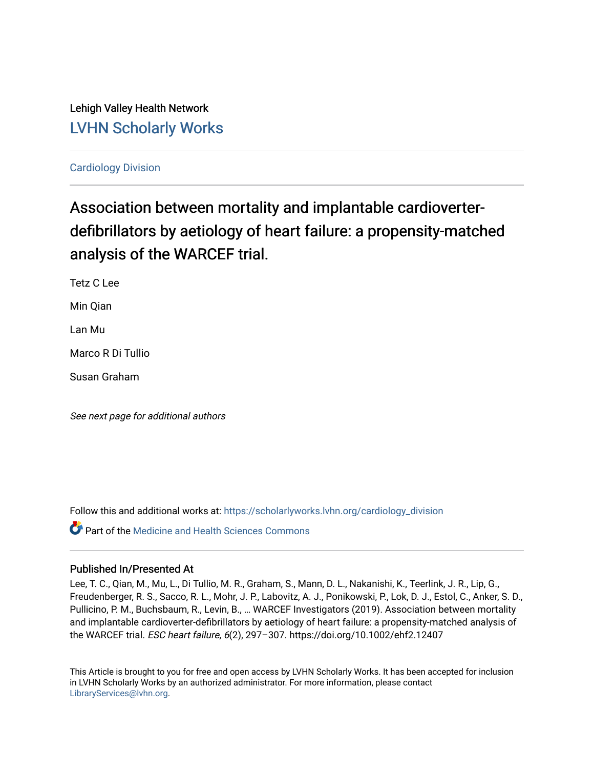Lehigh Valley Health Network [LVHN Scholarly Works](https://scholarlyworks.lvhn.org/)

[Cardiology Division](https://scholarlyworks.lvhn.org/cardiology_division) 

## Association between mortality and implantable cardioverterdefibrillators by aetiology of heart failure: a propensity-matched analysis of the WARCEF trial.

Tetz C Lee Min Qian Lan Mu Marco R Di Tullio Susan Graham

See next page for additional authors

Follow this and additional works at: [https://scholarlyworks.lvhn.org/cardiology\\_division](https://scholarlyworks.lvhn.org/cardiology_division?utm_source=scholarlyworks.lvhn.org%2Fcardiology_division%2F57&utm_medium=PDF&utm_campaign=PDFCoverPages)

**C** Part of the Medicine and Health Sciences Commons

#### Published In/Presented At

Lee, T. C., Qian, M., Mu, L., Di Tullio, M. R., Graham, S., Mann, D. L., Nakanishi, K., Teerlink, J. R., Lip, G., Freudenberger, R. S., Sacco, R. L., Mohr, J. P., Labovitz, A. J., Ponikowski, P., Lok, D. J., Estol, C., Anker, S. D., Pullicino, P. M., Buchsbaum, R., Levin, B., … WARCEF Investigators (2019). Association between mortality and implantable cardioverter-defibrillators by aetiology of heart failure: a propensity-matched analysis of the WARCEF trial. ESC heart failure, 6(2), 297–307. https://doi.org/10.1002/ehf2.12407

This Article is brought to you for free and open access by LVHN Scholarly Works. It has been accepted for inclusion in LVHN Scholarly Works by an authorized administrator. For more information, please contact [LibraryServices@lvhn.org](mailto:LibraryServices@lvhn.org).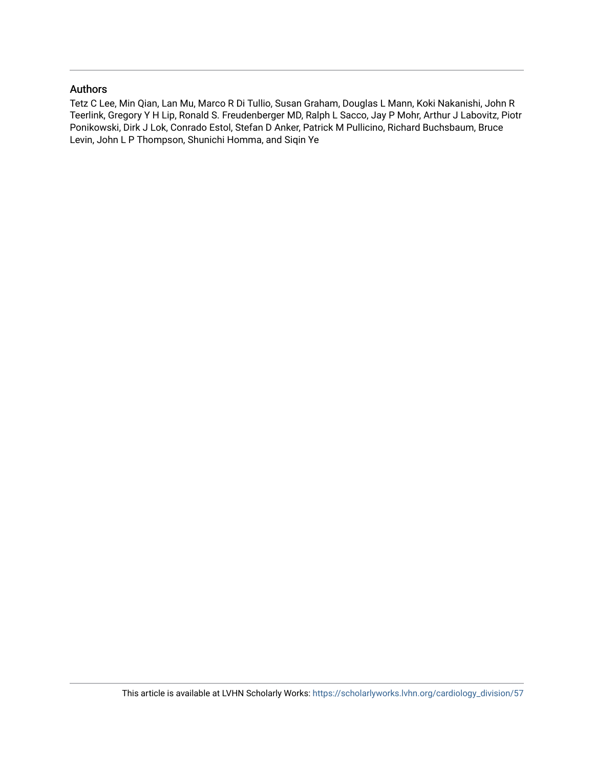#### Authors

Tetz C Lee, Min Qian, Lan Mu, Marco R Di Tullio, Susan Graham, Douglas L Mann, Koki Nakanishi, John R Teerlink, Gregory Y H Lip, Ronald S. Freudenberger MD, Ralph L Sacco, Jay P Mohr, Arthur J Labovitz, Piotr Ponikowski, Dirk J Lok, Conrado Estol, Stefan D Anker, Patrick M Pullicino, Richard Buchsbaum, Bruce Levin, John L P Thompson, Shunichi Homma, and Siqin Ye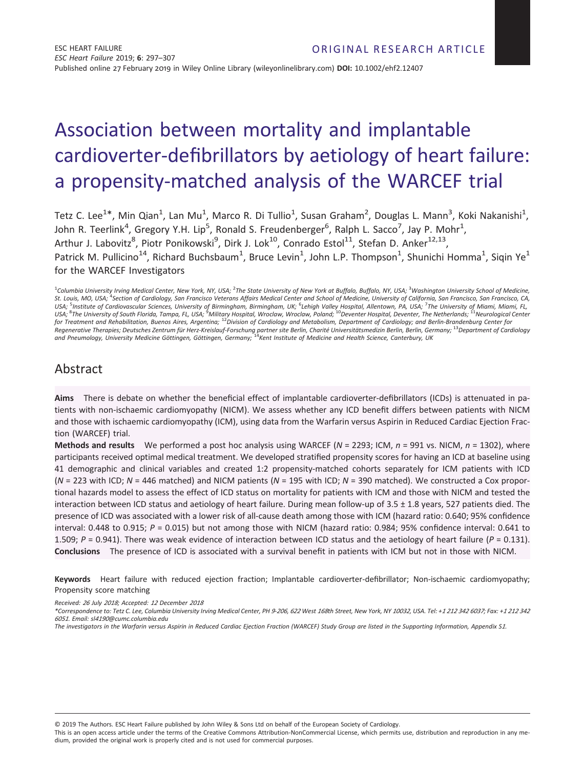# Association between mortality and implantable cardioverter-defibrillators by aetiology of heart failure: a propensity-matched analysis of the WARCEF trial

Tetz C. Lee $^{1*}$ , Min Qian $^{1}$ , Lan Mu $^{1}$ , Marco R. Di Tullio $^{1}$ , Susan Graham $^{2}$ , Douglas L. Mann $^{3}$ , Koki Nakanishi $^{1}$ , John R. Teerlink $^4$ , Gregory Y.H. Lip $^5$ , Ronald S. Freudenberger $^6$ , Ralph L. Sacco $^7$ , Jay P. Mohr $^1$ , Arthur J. Labovitz $^8$ , Piotr Ponikowski $^9$ , Dirk J. Lok $^{10}$ , Conrado Estol $^{11}$ , Stefan D. Anker $^{12,13}$ , Patrick M. Pullicino<sup>14</sup>, Richard Buchsbaum<sup>1</sup>, Bruce Levin<sup>1</sup>, John L.P. Thompson<sup>1</sup>, Shunichi Homma<sup>1</sup>, Siqin Ye<sup>1</sup> for the WARCEF Investigators

<sup>1</sup>Columbia University Irving Medical Center, New York, NY, USA; <sup>2</sup>The State University of New York at Buffalo, Buffalo, NY, USA; <sup>3</sup>Washington University School of Medicine, St. Louis, MO, USA; <sup>4</sup>Section of Cardiology, San Francisco Veterans Affairs Medical Center and School of Medicine, University of California, San Francisco, San Francisco, CA, USA; <sup>5</sup>Institute of Cardiovascular Sciences, University of Birmingham, Birmingham, UK; <sup>6</sup>Lehigh Valley Hospital, Allentown, PA, USA; <sup>7</sup>The University of Miami, Miami, FL,<br>USA; <sup>8</sup>The University of South Florida, Tampa, .<br>Regenerative Therapies; Deutsches Zentrum für Herz-Kreislauf-Forschung partner site Berlin, Charité Universitätsmedizin Berlin, Berlin, Germany; <sup>13</sup>Department of Cardiology<br>and Pneumology, University Medicine Göttingen,

## Abstract

Aims There is debate on whether the beneficial effect of implantable cardioverter-defibrillators (ICDs) is attenuated in patients with non-ischaemic cardiomyopathy (NICM). We assess whether any ICD benefit differs between patients with NICM and those with ischaemic cardiomyopathy (ICM), using data from the Warfarin versus Aspirin in Reduced Cardiac Ejection Fraction (WARCEF) trial.

Methods and results We performed a post hoc analysis using WARCEF ( $N = 2293$ ; ICM,  $n = 991$  vs. NICM,  $n = 1302$ ), where participants received optimal medical treatment. We developed stratified propensity scores for having an ICD at baseline using 41 demographic and clinical variables and created 1:2 propensity-matched cohorts separately for ICM patients with ICD ( $N = 223$  with ICD;  $N = 446$  matched) and NICM patients ( $N = 195$  with ICD;  $N = 390$  matched). We constructed a Cox proportional hazards model to assess the effect of ICD status on mortality for patients with ICM and those with NICM and tested the interaction between ICD status and aetiology of heart failure. During mean follow-up of 3.5 ± 1.8 years, 527 patients died. The presence of ICD was associated with a lower risk of all-cause death among those with ICM (hazard ratio: 0.640; 95% confidence interval: 0.448 to 0.915; P = 0.015) but not among those with NICM (hazard ratio: 0.984; 95% confidence interval: 0.641 to 1.509;  $P = 0.941$ ). There was weak evidence of interaction between ICD status and the aetiology of heart failure ( $P = 0.131$ ). Conclusions The presence of ICD is associated with a survival benefit in patients with ICM but not in those with NICM.

Keywords Heart failure with reduced ejection fraction; Implantable cardioverter-defibrillator; Non-ischaemic cardiomyopathy; Propensity score matching

Received: <sup>26</sup> July <sup>2018</sup>; Accepted: <sup>12</sup> December <sup>2018</sup>

\*Correspondence to: Tetz C. Lee, Columbia University Irving Medical Center, PH <sup>9</sup>-206, <sup>622</sup> West <sup>168</sup>th Street, New York, NY <sup>10032</sup>, USA. Tel: +<sup>1</sup> <sup>212</sup> <sup>342</sup> <sup>6037</sup>; Fax: +<sup>1</sup> <sup>212</sup> <sup>342</sup> <sup>6051</sup>. Email: sl4190@cumc.columbia.edu

The investigators in the Warfarin versus Aspirin in Reduced Cardiac Ejection Fraction (WARCEF) Study Group are listed in the Supporting Information, Appendix S1.

© 2019 The Authors. ESC Heart Failure published by John Wiley & Sons Ltd on behalf of the European Society of Cardiology.

This is an open access article under the terms of the [Creative Commons Attribution-NonCommercial](http://creativecommons.org/licenses/by-nc/4.0/) License, which permits use, distribution and reproduction in any medium, provided the original work is properly cited and is not used for commercial purposes.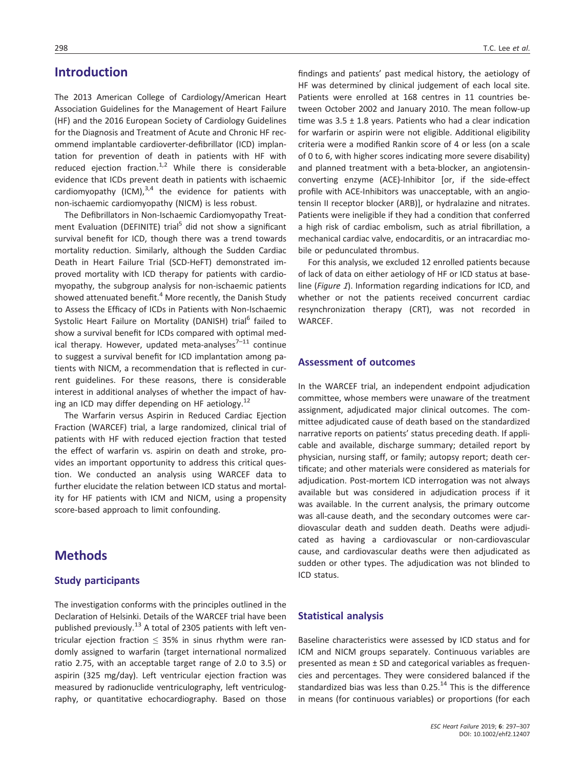## Introduction

The 2013 American College of Cardiology/American Heart Association Guidelines for the Management of Heart Failure (HF) and the 2016 European Society of Cardiology Guidelines for the Diagnosis and Treatment of Acute and Chronic HF recommend implantable cardioverter-defibrillator (ICD) implantation for prevention of death in patients with HF with reduced ejection fraction.<sup>1,2</sup> While there is considerable evidence that ICDs prevent death in patients with ischaemic cardiomyopathy (ICM), $^{3,4}$  the evidence for patients with non-ischaemic cardiomyopathy (NICM) is less robust.

The Defibrillators in Non-Ischaemic Cardiomyopathy Treatment Evaluation (DEFINITE) trial<sup>5</sup> did not show a significant survival benefit for ICD, though there was a trend towards mortality reduction. Similarly, although the Sudden Cardiac Death in Heart Failure Trial (SCD-HeFT) demonstrated improved mortality with ICD therapy for patients with cardiomyopathy, the subgroup analysis for non-ischaemic patients showed attenuated benefit.<sup>4</sup> More recently, the Danish Study to Assess the Efficacy of ICDs in Patients with Non-Ischaemic Systolic Heart Failure on Mortality (DANISH) trial<sup>6</sup> failed to show a survival benefit for ICDs compared with optimal medical therapy. However, updated meta-analyses $7-11$  continue to suggest a survival benefit for ICD implantation among patients with NICM, a recommendation that is reflected in current guidelines. For these reasons, there is considerable interest in additional analyses of whether the impact of having an ICD may differ depending on HF aetiology. $^{12}$ 

The Warfarin versus Aspirin in Reduced Cardiac Ejection Fraction (WARCEF) trial, a large randomized, clinical trial of patients with HF with reduced ejection fraction that tested the effect of warfarin vs. aspirin on death and stroke, provides an important opportunity to address this critical question. We conducted an analysis using WARCEF data to further elucidate the relation between ICD status and mortality for HF patients with ICM and NICM, using a propensity score-based approach to limit confounding.

### Methods

#### Study participants

The investigation conforms with the principles outlined in the Declaration of Helsinki. Details of the WARCEF trial have been published previously.<sup>13</sup> A total of 2305 patients with left ventricular ejection fraction  $\leq$  35% in sinus rhythm were randomly assigned to warfarin (target international normalized ratio 2.75, with an acceptable target range of 2.0 to 3.5) or aspirin (325 mg/day). Left ventricular ejection fraction was measured by radionuclide ventriculography, left ventriculography, or quantitative echocardiography. Based on those

findings and patients' past medical history, the aetiology of HF was determined by clinical judgement of each local site. Patients were enrolled at 168 centres in 11 countries between October 2002 and January 2010. The mean follow-up time was  $3.5 \pm 1.8$  years. Patients who had a clear indication for warfarin or aspirin were not eligible. Additional eligibility criteria were a modified Rankin score of 4 or less (on a scale of 0 to 6, with higher scores indicating more severe disability) and planned treatment with a beta-blocker, an angiotensinconverting enzyme (ACE)-Inhibitor [or, if the side-effect profile with ACE-Inhibitors was unacceptable, with an angiotensin II receptor blocker (ARB)], or hydralazine and nitrates. Patients were ineligible if they had a condition that conferred a high risk of cardiac embolism, such as atrial fibrillation, a mechanical cardiac valve, endocarditis, or an intracardiac mobile or pedunculated thrombus.

For this analysis, we excluded 12 enrolled patients because of lack of data on either aetiology of HF or ICD status at baseline (Figure 1). Information regarding indications for ICD, and whether or not the patients received concurrent cardiac resynchronization therapy (CRT), was not recorded in WARCEF.

#### Assessment of outcomes

In the WARCEF trial, an independent endpoint adjudication committee, whose members were unaware of the treatment assignment, adjudicated major clinical outcomes. The committee adjudicated cause of death based on the standardized narrative reports on patients' status preceding death. If applicable and available, discharge summary; detailed report by physician, nursing staff, or family; autopsy report; death certificate; and other materials were considered as materials for adjudication. Post-mortem ICD interrogation was not always available but was considered in adjudication process if it was available. In the current analysis, the primary outcome was all-cause death, and the secondary outcomes were cardiovascular death and sudden death. Deaths were adjudicated as having a cardiovascular or non-cardiovascular cause, and cardiovascular deaths were then adjudicated as sudden or other types. The adjudication was not blinded to ICD status.

#### Statistical analysis

Baseline characteristics were assessed by ICD status and for ICM and NICM groups separately. Continuous variables are presented as mean ± SD and categorical variables as frequencies and percentages. They were considered balanced if the standardized bias was less than 0.25.<sup>14</sup> This is the difference in means (for continuous variables) or proportions (for each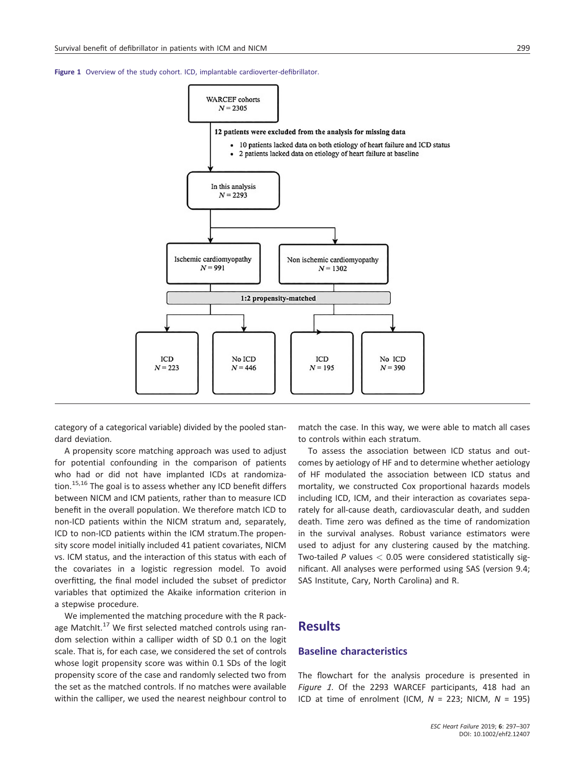



category of a categorical variable) divided by the pooled standard deviation.

A propensity score matching approach was used to adjust for potential confounding in the comparison of patients who had or did not have implanted ICDs at randomization.<sup>15,16</sup> The goal is to assess whether any ICD benefit differs between NICM and ICM patients, rather than to measure ICD benefit in the overall population. We therefore match ICD to non-ICD patients within the NICM stratum and, separately, ICD to non-ICD patients within the ICM stratum.The propensity score model initially included 41 patient covariates, NICM vs. ICM status, and the interaction of this status with each of the covariates in a logistic regression model. To avoid overfitting, the final model included the subset of predictor variables that optimized the Akaike information criterion in a stepwise procedure.

We implemented the matching procedure with the R package MatchIt. $17$  We first selected matched controls using random selection within a calliper width of SD 0.1 on the logit scale. That is, for each case, we considered the set of controls whose logit propensity score was within 0.1 SDs of the logit propensity score of the case and randomly selected two from the set as the matched controls. If no matches were available within the calliper, we used the nearest neighbour control to

match the case. In this way, we were able to match all cases to controls within each stratum.

To assess the association between ICD status and outcomes by aetiology of HF and to determine whether aetiology of HF modulated the association between ICD status and mortality, we constructed Cox proportional hazards models including ICD, ICM, and their interaction as covariates separately for all-cause death, cardiovascular death, and sudden death. Time zero was defined as the time of randomization in the survival analyses. Robust variance estimators were used to adjust for any clustering caused by the matching. Two-tailed  $P$  values  $<$  0.05 were considered statistically significant. All analyses were performed using SAS (version 9.4; SAS Institute, Cary, North Carolina) and R.

#### **Results**

#### Baseline characteristics

The flowchart for the analysis procedure is presented in Figure 1. Of the 2293 WARCEF participants, 418 had an ICD at time of enrolment (ICM,  $N = 223$ ; NICM,  $N = 195$ )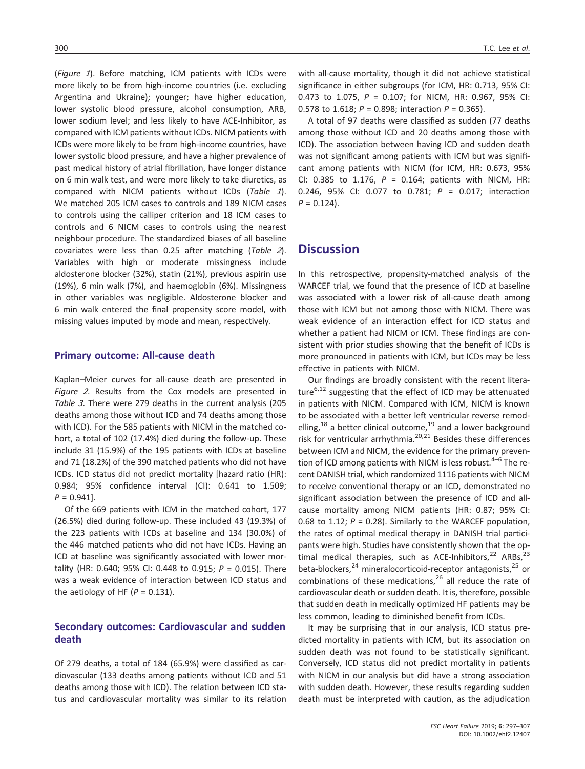(Figure 1). Before matching, ICM patients with ICDs were more likely to be from high-income countries (i.e. excluding Argentina and Ukraine); younger; have higher education, lower systolic blood pressure, alcohol consumption, ARB, lower sodium level; and less likely to have ACE-Inhibitor, as compared with ICM patients without ICDs. NICM patients with ICDs were more likely to be from high-income countries, have lower systolic blood pressure, and have a higher prevalence of past medical history of atrial fibrillation, have longer distance on 6 min walk test, and were more likely to take diuretics, as compared with NICM patients without ICDs (Table 1). We matched 205 ICM cases to controls and 189 NICM cases to controls using the calliper criterion and 18 ICM cases to controls and 6 NICM cases to controls using the nearest neighbour procedure. The standardized biases of all baseline covariates were less than 0.25 after matching (Table <sup>2</sup>). Variables with high or moderate missingness include aldosterone blocker (32%), statin (21%), previous aspirin use (19%), 6 min walk (7%), and haemoglobin (6%). Missingness in other variables was negligible. Aldosterone blocker and 6 min walk entered the final propensity score model, with missing values imputed by mode and mean, respectively.

#### Primary outcome: All-cause death

Kaplan–Meier curves for all-cause death are presented in Figure <sup>2</sup>. Results from the Cox models are presented in Table 3. There were 279 deaths in the current analysis (205 deaths among those without ICD and 74 deaths among those with ICD). For the 585 patients with NICM in the matched cohort, a total of 102 (17.4%) died during the follow-up. These include 31 (15.9%) of the 195 patients with ICDs at baseline and 71 (18.2%) of the 390 matched patients who did not have ICDs. ICD status did not predict mortality [hazard ratio (HR): 0.984; 95% confidence interval (CI): 0.641 to 1.509;  $P = 0.941$ .

Of the 669 patients with ICM in the matched cohort, 177 (26.5%) died during follow-up. These included 43 (19.3%) of the 223 patients with ICDs at baseline and 134 (30.0%) of the 446 matched patients who did not have ICDs. Having an ICD at baseline was significantly associated with lower mortality (HR: 0.640; 95% CI: 0.448 to 0.915;  $P = 0.015$ ). There was a weak evidence of interaction between ICD status and the aetiology of HF ( $P = 0.131$ ).

#### Secondary outcomes: Cardiovascular and sudden death

Of 279 deaths, a total of 184 (65.9%) were classified as cardiovascular (133 deaths among patients without ICD and 51 deaths among those with ICD). The relation between ICD status and cardiovascular mortality was similar to its relation

with all-cause mortality, though it did not achieve statistical significance in either subgroups (for ICM, HR: 0.713, 95% CI: 0.473 to 1.075, P = 0.107; for NICM, HR: 0.967, 95% CI: 0.578 to 1.618;  $P = 0.898$ ; interaction  $P = 0.365$ ).

A total of 97 deaths were classified as sudden (77 deaths among those without ICD and 20 deaths among those with ICD). The association between having ICD and sudden death was not significant among patients with ICM but was significant among patients with NICM (for ICM, HR: 0.673, 95% CI: 0.385 to 1.176,  $P = 0.164$ ; patients with NICM, HR: 0.246, 95% CI: 0.077 to 0.781; P = 0.017; interaction  $P = 0.124$ .

#### **Discussion**

In this retrospective, propensity-matched analysis of the WARCEF trial, we found that the presence of ICD at baseline was associated with a lower risk of all-cause death among those with ICM but not among those with NICM. There was weak evidence of an interaction effect for ICD status and whether a patient had NICM or ICM. These findings are consistent with prior studies showing that the benefit of ICDs is more pronounced in patients with ICM, but ICDs may be less effective in patients with NICM.

Our findings are broadly consistent with the recent literature<sup>6,12</sup> suggesting that the effect of ICD may be attenuated in patients with NICM. Compared with ICM, NICM is known to be associated with a better left ventricular reverse remodelling,  $18$  a better clinical outcome,  $19$  and a lower background risk for ventricular arrhythmia. $20,21$  Besides these differences between ICM and NICM, the evidence for the primary prevention of ICD among patients with NICM is less robust.<sup>4–6</sup> The recent DANISH trial, which randomized 1116 patients with NICM to receive conventional therapy or an ICD, demonstrated no significant association between the presence of ICD and allcause mortality among NICM patients (HR: 0.87; 95% CI: 0.68 to 1.12;  $P = 0.28$ ). Similarly to the WARCEF population, the rates of optimal medical therapy in DANISH trial participants were high. Studies have consistently shown that the optimal medical therapies, such as ACE-Inhibitors, $22$  ARBs,  $23$ beta-blockers,<sup>24</sup> mineralocorticoid-receptor antagonists,<sup>25</sup> or combinations of these medications,<sup>26</sup> all reduce the rate of cardiovascular death or sudden death. It is, therefore, possible that sudden death in medically optimized HF patients may be less common, leading to diminished benefit from ICDs.

It may be surprising that in our analysis, ICD status predicted mortality in patients with ICM, but its association on sudden death was not found to be statistically significant. Conversely, ICD status did not predict mortality in patients with NICM in our analysis but did have a strong association with sudden death. However, these results regarding sudden death must be interpreted with caution, as the adjudication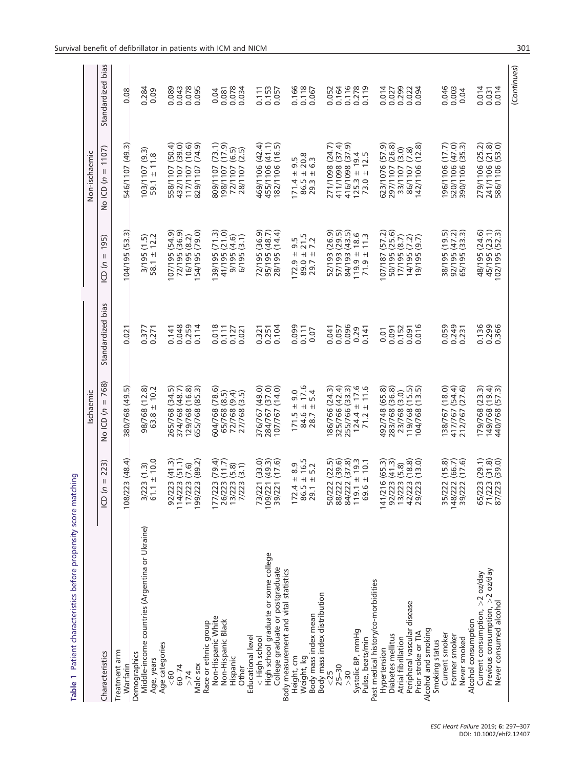|                                                                              |                                                | Ischaemic                                          |                   |                                                                            | Non-ischaemic                                            |                   |
|------------------------------------------------------------------------------|------------------------------------------------|----------------------------------------------------|-------------------|----------------------------------------------------------------------------|----------------------------------------------------------|-------------------|
| Characteristics                                                              | 223)<br>$\parallel$<br>S<br>$\overline{6}$     | No ICD $(n = 768)$                                 | Standardized bias | 195)<br>$\parallel$<br>1CD(n)                                              | No ICD $(n = 1107)$                                      | Standardized bias |
| Treatment arm<br>Warfarin                                                    | 108/223 (48.4)                                 | 380/768 (49.5)                                     | 0.021             | 104/195 (53.3)                                                             | 546/1107 (49.3)                                          | 0.08              |
| Middle-income countries (Argentina or Ukraine)<br>Demographics<br>Age, years | $61.1 \pm 10.0$<br>3/223(1.3)                  | $63.8 \pm 10.2$<br>98/768 (12.8)                   | 0.377<br>0.271    | 12.2<br>(1.5)<br>$58.1 +$<br>3/195                                         | 103/1107 (9.3)<br>$59.1 \pm 11.8$                        | 0.284<br>0.09     |
| Age categories<br>&80                                                        | 92/223(41.3)                                   | în<br>265/768 (34.                                 | 0.141             | (54.9)<br>07/195                                                           | (50.4)<br>558/1107                                       | 0.089             |
| $60 - 74$                                                                    | 114/223 (51.1)                                 | 374/768 (48.7)                                     | 0.048             | (36.9)<br>72/195                                                           | (39.0)<br>432/1107                                       | 0.043             |
| Male sex<br>>74                                                              | (89.2)<br>17/223 (7.6)<br>199/223              | (16.8)<br>$\omega$<br>655/768 (85.<br>129/768      | 0.259<br>0.114    | (79.0)<br>(8.2)<br>16/195                                                  | (10.6)<br>(74.9)<br>117/1107<br>829/1107                 | 0.078<br>0.095    |
| Race or ethnic group                                                         |                                                |                                                    |                   |                                                                            |                                                          |                   |
| Non-Hispanic White                                                           | $(79.4)$<br>$(1.7)$<br>177/223                 | (78.6)<br>604/768                                  | 0.018             | (71.3)<br>139/195<br>41/195<br>4                                           | $(73.1)$<br>$(17.9)$<br>809/1107                         | 0.04              |
| Non-Hispanic Black<br>Hispanic                                               | 26/223<br>/223<br>$\overline{5}$               | 65/768 (8.5)<br>72/768 (9.4)                       | 0.127             | (21.0)<br>9/195(4.6)                                                       | 72/1107<br>198/1107                                      | 0.078<br>0.081    |
| Other                                                                        | $(5.8)$<br>$(3.1)$<br>7/223                    | (3.5)<br>27/768                                    | 0.021             | (3.1)<br>6/195                                                             | $(6.5)$<br>$(2.5)$<br>28/1107                            | 0.034             |
| Educational level                                                            |                                                |                                                    |                   |                                                                            |                                                          |                   |
| < High school                                                                | $(33.0)$<br>$(49.3)$<br>73/221                 | 376/767 (49.0)                                     | 0.321             | $(36.9)$<br>$(48.7)$<br>72/195                                             | (42.4)<br>469/1106                                       | 0.111             |
| High school graduate or some college                                         | 109/221                                        | 284/767 (37.0)                                     |                   |                                                                            | 455/1106 (41.1)                                          | 0.153             |
| College graduate or postgraduate<br>Body measurement and vital statistics    | (17.6)<br>39/221                               | (14.0)<br>107/767                                  | 0.104             | (14.4)<br>28/195                                                           | m<br>(16.<br>182/1106                                    | 0.057             |
| Height, cm                                                                   | 8.9<br>$\pm$                                   | $+1$                                               | 0.099             | $+1$<br>172.9                                                              | 9.5                                                      | 0.166             |
| Weight, kg                                                                   | 16.5<br>$+1$ +1<br>$172.4$<br>86.5             | $9.0$<br>17.6<br>$+1$ +1<br>$171.5$<br>84.6        | 0.111             | $9.5$<br>$21.5$<br>$\pm$<br>89.0                                           | $+ 9.5$<br>$+ 20.8$<br>$+ 1 + 1$<br>$\frac{1714}{86.5}$  | 0.118             |
| Body mass index mean                                                         | 5.2                                            | 5.4<br>28.7                                        | 0.07              | 7.2<br>$+1$<br>29.7                                                        |                                                          | 0.067             |
| Body mass index distribution                                                 |                                                |                                                    |                   |                                                                            |                                                          |                   |
| & 25                                                                         | 50/222 (22.5)                                  | 186/766 (24.3)                                     | 0.041             |                                                                            | 271/1098 (24.7)                                          | 0.052             |
| $25 - 30$                                                                    | 88/222 (39.6)                                  | 325/766 (42.4)                                     | 0.057             |                                                                            | 411/1098 (37.4)                                          | 0.164             |
| > 30                                                                         | 84/222 (37.8)                                  | 255/766 (33.3)                                     | 0.096<br>0.29     |                                                                            | 416/1098 (37.9)                                          | 0.116<br>0.278    |
| Systolic BP, mmHg<br>Pulse, beats/min                                        | $119.1 \pm 19.3$<br>69.6 ± 10.1                | $124.4 \pm 17.6$<br>71.2 $\pm$ 11.6                | 0.141             | $(5.8)$<br>$(5.8)$ 561/93<br>$(5.8)$ 561/93<br>1193 (43.5)<br>11.5<br>11.7 | $125.3 \pm 19.4$<br>$73.0 \pm 12.5$                      | 0.119             |
| Past medical history/co-morbidities                                          |                                                |                                                    |                   |                                                                            |                                                          |                   |
| Hypertension                                                                 | 141/216 (65.3)                                 | 492/748 (65.8)                                     | 0.01              | 107/187 (57.2)                                                             | (57.9)<br>623/1076                                       | 0.014             |
| Diabetes mellitus                                                            | 92/223(41.3)                                   | 283/768 (36.8)                                     | 0.091             | 50/195 (25.6)                                                              | (26.8)<br>297/1107                                       | 0.027             |
| Atrial fibrillation                                                          | (5.8)<br>13/223                                | 23/768 (3.0)                                       | 0.152             | 17/195(8.7)                                                                | (3.0)<br>33/1107                                         | 0.299             |
| Peripheral vascular disease                                                  | $(18.8)$<br>$(13.0)$<br>42/223                 | $(15.5)$<br>$(13.5)$<br>119/768                    | 0.091             | $(7.2)$<br>$(9.7)$<br>14/195                                               | (7.8)<br>86/1107                                         | 0.022             |
| Prior stroke or TIA                                                          | /223<br>29                                     | 104/768                                            | 0.016             |                                                                            | (12.8)<br>142/1106                                       | 094               |
| Alcohol and smoking<br>Smoking status                                        |                                                |                                                    |                   |                                                                            |                                                          |                   |
| Current smoker                                                               | 35/222 (15.8)                                  | (18.0)<br>138/767                                  | 0.059             | 38/195                                                                     | (17.7)<br>196/1106                                       | 0.046             |
| Former smoker                                                                | 148/222 (66.7)<br>39/222 (17.6)                | 417/767 (54.4)<br>212/767 (27.6)                   | 0.249             | $(19.5)$<br>$(47.2)$<br>$(33.3)$<br>92/195                                 | $(47.0)$<br>$(35.3)$<br>520/1106                         | 0.003             |
| Never smoked                                                                 |                                                |                                                    | 231               |                                                                            | 390/1106                                                 | 0.04              |
| Alcohol consumption                                                          |                                                |                                                    |                   |                                                                            |                                                          |                   |
| Current consumption, >2 oz/day                                               | 65/223 (29.1)                                  |                                                    | 0.136             | (24.6)                                                                     | 279/1106                                                 | 0.014             |
| Previous consumption, >2 oz/day                                              | $(31,8)$<br>$(39,0)$<br>71/223<br>(223)<br>87, | 179/768 (23.3)<br>149/768 (19.4)<br>440/768 (57.3) | 0.299             | $(23.1)$<br>$(52.3)$<br>48/195<br>45/195<br>102/195                        | $(25.2)$<br>$(21.8)$<br>$(53.0)$<br>241/1106<br>586/1106 | 0.014<br>0.031    |
| Never consumed alcohol                                                       |                                                |                                                    |                   |                                                                            |                                                          |                   |
|                                                                              |                                                |                                                    |                   |                                                                            |                                                          | (Continues)       |

Table 1 Patient characteristics before propensity score matching

Table 1 Patient characteristics before propensity score matching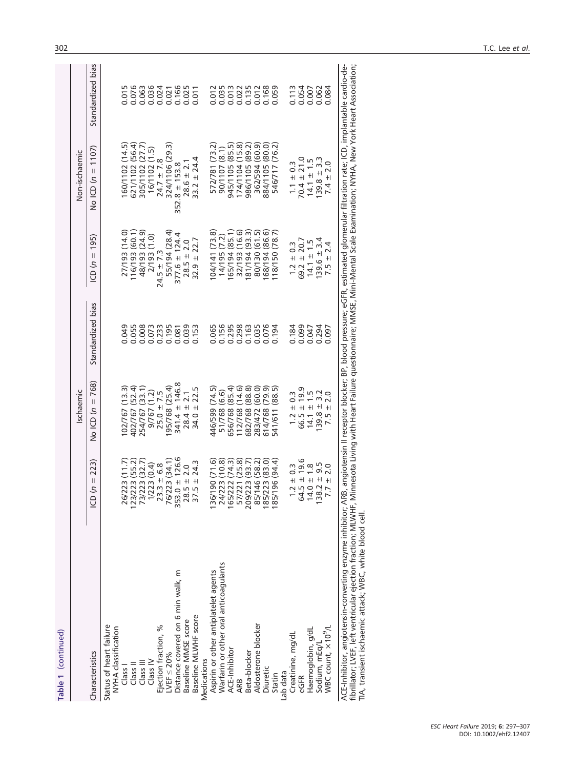| Table 1 (continued)                                                                                                                                                                                                                                                                                                   |                                                                     |                                                    |                   |                   |                                                                                                                           |                   |
|-----------------------------------------------------------------------------------------------------------------------------------------------------------------------------------------------------------------------------------------------------------------------------------------------------------------------|---------------------------------------------------------------------|----------------------------------------------------|-------------------|-------------------|---------------------------------------------------------------------------------------------------------------------------|-------------------|
|                                                                                                                                                                                                                                                                                                                       |                                                                     | Ischaemic                                          |                   |                   | Non-ischaemic                                                                                                             |                   |
| Characteristics                                                                                                                                                                                                                                                                                                       | $LCD (n = 223)$                                                     | 768)<br>$\parallel$<br>No ICD (n                   | Standardized bias | $ CD (n = 195)$   | No ICD $(n = 1107)$                                                                                                       | Standardized bias |
| Status of heart failure<br>NYHA classification                                                                                                                                                                                                                                                                        |                                                                     |                                                    |                   |                   |                                                                                                                           |                   |
| Class <sub>I</sub>                                                                                                                                                                                                                                                                                                    | 6/223 (11.7<br>$\sim$                                               | 102/767 (13.3)                                     | 0.049             | 27/193 (14.0)     | 160/1102 (14.5)                                                                                                           | 0.015             |
| Class <sub>II</sub>                                                                                                                                                                                                                                                                                                   |                                                                     | 402/767 (52.4)                                     | 0.055             | 116/193 (60.1)    | 621/1102 (56.4)                                                                                                           | 0.076             |
| Class III                                                                                                                                                                                                                                                                                                             | 123/223 (55.2)<br>73/223 (32.7)                                     | 254/767 (33.1)                                     | 0.008             | 48/193 (24.9)     | 305/1102 (27.7)                                                                                                           | 0.063             |
| Class <sub>IV</sub>                                                                                                                                                                                                                                                                                                   | 1/223(0.4)                                                          | 9/767(1.2)                                         | 0.073             | 2/193 (1.0)       | 16/1102 (1.5)                                                                                                             | 0.036             |
| Ejection fraction, %                                                                                                                                                                                                                                                                                                  | $23.3 \pm 6.8$                                                      | $25.0 \pm 7.5$                                     | 0.233             | $24.5 \pm 7.3$    | $24.7 \pm 7.8$                                                                                                            | 0.024             |
| $LVEF \leq 20\%$                                                                                                                                                                                                                                                                                                      | 76/223 (34.1)                                                       | 195/768 (25.4)                                     | 0.195             | 55/194 (28.4)     | 324/1106 (29.3)                                                                                                           | 0.021             |
| Distance covered on 6 min walk, m                                                                                                                                                                                                                                                                                     | $353.0 \pm 126.6$                                                   | $341.4 \pm 146.8$                                  | 0.081             | $377.6 \pm 124.4$ | $352.8 \pm 153.8$                                                                                                         | 0.166             |
| Baseline MMSE score                                                                                                                                                                                                                                                                                                   | $28.5 \pm 2.0$                                                      | $28.4 \pm 2.1$                                     | 0.039             | $28.5 \pm 2.0$    | $28.6 \pm 2.1$                                                                                                            | 0.025             |
| Baseline MLWHF score                                                                                                                                                                                                                                                                                                  | $37.5 \pm 24.3$                                                     | $34.0 \pm 22.5$                                    | 0.153             | $32.9 \pm 22.7$   | $33.2 \pm 24.4$                                                                                                           | 0.011             |
| Medications                                                                                                                                                                                                                                                                                                           |                                                                     |                                                    |                   |                   |                                                                                                                           |                   |
| Aspirin or other antiplatelet agents                                                                                                                                                                                                                                                                                  | (71.6)                                                              | 446/599 (74.5)                                     | 0.065             | (04/141(73.8))    | 572/781 (73.2)                                                                                                            | 0.012             |
| Warfarin or other oral anticoagulants                                                                                                                                                                                                                                                                                 | (10.8)<br>136/190 (<br>24/223 (<br>165/222 (<br>57/221 (            | 51/768 (6.6)                                       | 0.156             | 14/195 (7.2)      | 90/1107 (8.1)                                                                                                             | 0.035             |
| ACE-Inhibitor                                                                                                                                                                                                                                                                                                         | (74.3)                                                              | 656/768 (85.4)                                     | 0.295             | 165/194 (85.1)    | 945/1105 (85.5)                                                                                                           | 0.013             |
| <b>ARB</b>                                                                                                                                                                                                                                                                                                            | (25.8)                                                              | 112/768 (14.6)                                     | 0.298             | 32/193 (16.6)     | (15.8)<br>174/1104                                                                                                        | 0.022             |
| Beta-blocker                                                                                                                                                                                                                                                                                                          |                                                                     | 682/768 (88.8)                                     | 0.163             | 81/194 (93.3)     | 986/1105 (89.2)                                                                                                           | 0.135             |
| Aldosterone blocker                                                                                                                                                                                                                                                                                                   |                                                                     | 283/472 (60.0)                                     | 0.035             | 80/130 (61.5)     | 362/594 (60.9)                                                                                                            | 0.012             |
| Diuretic                                                                                                                                                                                                                                                                                                              | 209/223 (93.7)<br>85/146 (58.2)<br>185/223 (83.0)<br>185/196 (94.4) | 614/768 (79.9)                                     | 0.076             | 168/194 (86.6)    | 884/1105 (80.0)                                                                                                           | 0.168             |
| Statin                                                                                                                                                                                                                                                                                                                |                                                                     | 541/611 (88.5)                                     | 0.194             | 118/150 (78.7)    | 546/717 (76.2)                                                                                                            | 0.059             |
| Lab data                                                                                                                                                                                                                                                                                                              |                                                                     |                                                    |                   |                   |                                                                                                                           |                   |
| Creatinine, mg/dL                                                                                                                                                                                                                                                                                                     | $1.2 \pm 0.3$                                                       | $1.2 \pm 0.3$<br>$66.5 \pm 19.9$<br>$14.1 \pm 1.5$ | 0.184             | $1.2 \pm 0.3$     | $1.1 \pm 0.3$<br>$70.4 \pm 21.0$                                                                                          | 0.113             |
| eGFR                                                                                                                                                                                                                                                                                                                  | $64.5 \pm 19.6$                                                     |                                                    | 0.099             | $69.2 \pm 20.7$   |                                                                                                                           | 0.054             |
| Haemoglobin, g/dL                                                                                                                                                                                                                                                                                                     | $14.0 \pm 1.8$                                                      |                                                    | 0.047             | $14.1 \pm 1.5$    | $14.1 \pm 1.5$                                                                                                            | 0.007             |
| Sodium, mEq/l                                                                                                                                                                                                                                                                                                         | $38.2 \pm 9.5$                                                      | $139.8 \pm 3.2$                                    | 0.294             | $139.6 \pm 3.4$   | $139.8 \pm 3.3$                                                                                                           | 0.062             |
| WBC count, ×10 <sup>9</sup> /L                                                                                                                                                                                                                                                                                        | $7.7 \pm 2.0$                                                       | $7.5 \pm 2.0$                                      | 0.097             | $7.5 \pm 2.4$     | $7.4 \pm 2.0$                                                                                                             | 0.084             |
| ACE-Inhibitor, angiotensin-converting enzyme inhibitor; ARB, angiotensin II receptor blocker; BP, blood pressure; eGFR, estimated glomerular filtration rate; ICD, implantable cardio-de-<br>fibrillator; LVEF, left ventricular ejection fraction; MLWHF,<br>TIA, transient ischaemic attack; WBC, white blood cell. |                                                                     |                                                    |                   |                   | Minnesota Living with Heart Failure questionnaire; MMSE, Mini-Mental Scale Examination; NYHA, New York Heart Association; |                   |
|                                                                                                                                                                                                                                                                                                                       |                                                                     |                                                    |                   |                   |                                                                                                                           |                   |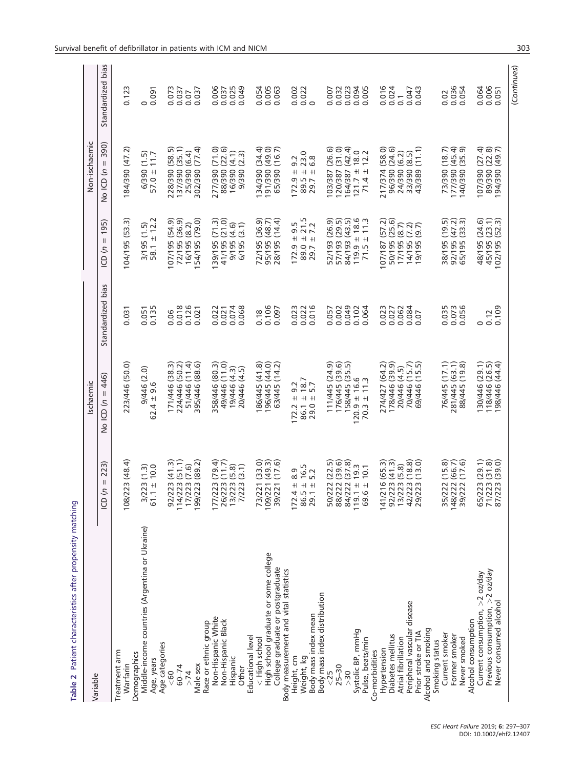| Variable                                                                     |                                                     | Ischaemic                           |                         |                                                  | Non-ischaemic                          |                   |
|------------------------------------------------------------------------------|-----------------------------------------------------|-------------------------------------|-------------------------|--------------------------------------------------|----------------------------------------|-------------------|
|                                                                              | 223)<br>$\lvert\lvert$<br>S<br>$\Xi$                | No ICD $(n = 446)$                  | Standardized bias       | 195)<br>$\parallel$<br>ICD (n                    | No ICD $(n = 390)$                     | Standardized bias |
| Treatment arm<br>Warfarin                                                    | 108/223 (48.4)                                      | 223/446 (50.0)                      | 0.031                   | 104/195 (53.3)                                   | 184/390 (47.2)                         | 0.123             |
| Middle-income countries (Argentina or Ukraine)<br>Demographics<br>Age, years | $61.1 \pm 10.0$<br>(1.3)<br>223<br>$\sum_{i=1}^{n}$ | 9/446 (2.0)<br>$.4 \pm 9.6$<br>62.  | 0.051<br>0.135          | $3/195(1.5)$<br>58.1 $\pm$ 12.2                  | (1.5)<br>11.7<br>6/390<br>57.0 ±       | 0.091<br>$\circ$  |
| Age categories<br>$60 - 74$<br>&09                                           | (51.1)<br>(41.3)<br>114/223<br>92/223               | 171/446 (38.3)<br>224/446 (50.2)    | 0.018<br>0.06           | 107/195 (54.9)<br>72/195 (36.9)                  | (35.1)<br>(58.5)<br>137/390<br>228/390 | 0.073<br>0.037    |
| Male sex<br>>74                                                              | (89.2)<br>(7.6)<br>223<br>199/223<br>$\frac{1}{2}$  | 395/446 (88.6)<br>51/446 (11.4)     | 0.126<br>0.021          | (79.0)<br>(8.2)<br>16/195<br>54/195              | (77.4)<br>(6.4)<br>302/390<br>25/390   | 0.037<br>0.07     |
| Race or ethnic group                                                         |                                                     |                                     |                         |                                                  |                                        |                   |
| Non-Hispanic White<br>Non-Hispanic Black                                     | $(79.4)$<br>$(11.7)$<br>26/223<br>177/223           | 49/446 (11.0)<br>358/446 (80.3)     | 0.022<br>0.021          | 139/195 (71.3)<br>41/195 (21.0)                  | 88/390 (22.6)<br>(71.0)<br>277/390     | 0.006<br>0.037    |
| Hispanic                                                                     | (5.8)<br>13/223                                     | 19/446 (4.3)                        | 0.074                   | 9/195(4.6)                                       | 16/390 (4.1)                           | 0.025             |
| Other                                                                        | (3.1)<br>7/223                                      | 20/446 (4.5)                        | 0.068                   | 6/195(3.1)                                       | 9/390 (2.3)                            | 0.049             |
| Educational level<br>< High school                                           | (33.0)<br>73/221                                    | 86/445 (41.8)                       | 0.18                    |                                                  | (34.4)<br>34/390                       | 0.054             |
| High school graduate or some college                                         | (49.3)<br>109/221                                   | 96/445 (44.0)                       | 0.106                   | 72/195 (36.9)<br>95/195 (48.7)<br>28/195 (14.4)  | (49.0)<br>91/390                       | 0.005             |
| College graduate or postgraduate<br>Body measurement and vital statistics    | (17.6)<br>39/221                                    | 63/445 (14.2)                       | 0.097                   |                                                  | (16.7)<br>65/390                       | 0.063             |
| Height, cm                                                                   | 8.9<br>172.4                                        | 9.2<br>$\pm\mathrm{l}$<br>172.2     | 0.023                   | $\pm$ 9.5<br>172.9                               | 9.2<br>$\pm$<br>172.9                  | 0.002             |
| Weight, kg                                                                   | 16.5<br>$+1$ +1 +1<br>86.5                          | ± 18.7<br>86.1                      | 0.022                   | $+ 21.5$<br>$+ 7.2$<br>$\frac{89.0}{29.7}$       | 23.0<br>$+1$ +1<br>89.5<br>29.7        | 0.022             |
| Body mass index mean                                                         | 5.2<br>29.1                                         | ± 5.7<br>29.0                       | 0.016                   |                                                  | 6.8                                    | $\circ$           |
| Body mass index distribution                                                 |                                                     |                                     |                         |                                                  |                                        |                   |
| $25 - 30$<br>< 25                                                            | (39.6)<br>(22.5)<br>88/222<br>50/222                | 111/445 (24.9)                      | 0.002<br>0.057          | 57/193 (29.5)<br>52/193 (26.9)                   | (31.0)<br>(26.6)<br>120/387<br>03/387  | 0.032<br>0.007    |
| > 30                                                                         | (37.8)<br>84/222                                    | 176/445 (39.6)<br>158/445 (35.5)    | 0.049                   | 84/193 (43.5)                                    | (42.4)<br>164/387                      | 0.023             |
| Systolic BP, mmHg                                                            | 19.3<br>$119.1 \pm$                                 | $120.9 \pm 16.6$<br>$70.3 \pm 11.3$ | 0.102                   | $119.9 \pm 18.6$<br>71.5 ± 11.3                  | 18.0<br>$121.7 \pm 7$                  | 0.094             |
| Pulse, beats/min                                                             | 10.1<br>$+1$<br>69.6                                |                                     | 0.064                   |                                                  | 12.2<br>$71.4 \pm$                     |                   |
| Co-morbidities                                                               |                                                     |                                     |                         |                                                  |                                        |                   |
| Diabetes mellitus<br>Hypertension                                            | 141/216 (65.3)<br>(41.3)<br>92/223                  | 274/427 (64.2)<br>178/446 (39.9)    | 0.023<br>0.027          | 07/187 (57.2)<br>50/195 (25.6)                   | (58.0)<br>(24.6)<br>217/374<br>96/390  | 0.016<br>0.024    |
| Atrial fibrillation                                                          | (5.8)<br>13/223                                     | (4.5)<br>20/446                     | 0.062                   | (8.7)<br>17/195(                                 | (6.2)<br>24/390                        | $\overline{0}$    |
| Peripheral vascular disease                                                  | $(18.8)$<br>$(13.0)$<br>42/223                      | $(15.7)$<br>$(15.5)$<br>70/446      | 0.084                   | $(7.2)$<br>$(9.7)$<br>14/195                     | 33/390 (8.5)                           | 0.047             |
| Prior stroke or TIA                                                          | 29/223                                              | 69/446                              | 0.07                    |                                                  | (11.1)<br>43/389                       | 0.043             |
| Alcohol and smoking<br>Smoking status                                        |                                                     |                                     |                         |                                                  |                                        |                   |
| Current smoker                                                               | (15.8)<br>35/222                                    | 76/445 (17.1)                       |                         |                                                  | (18.7)<br>73/390                       | 0.02              |
| Former smoker                                                                | (66.7)<br>148/222                                   | 281/445 (63.1)                      | 0.035<br>0.073<br>0.056 | 38/195 (19.5)<br>92/195 (47.2)<br>65/195 (33.3)  | (45.4)<br>177/390                      | 0.036             |
| Never smoked                                                                 | (17.6)<br>39/222                                    | (19.8)<br>88/445                    |                         |                                                  | (35.9)<br>40/390                       | 0.054             |
| Alcohol consumption                                                          |                                                     |                                     |                         |                                                  |                                        |                   |
| Previous consumption, >2 oz/day<br>Current consumption, >2 oz/day            | 65/223 (29.1)<br>(31.8)<br>71/223                   | 130/446 (29.1)<br>118/446 (26.5)    | 0.12<br>0               |                                                  | 107/390 (27.4)<br>89/390 (22.8)        | 0.064<br>0.006    |
| Never consumed alcohol                                                       | (39.0)<br>87/223                                    | (44.4)<br>98/446                    | 0.109                   | 48/195 (24.6)<br>45/195 (23.1)<br>102/195 (52.3) | (49.7)<br>94/390                       | 0.051             |
|                                                                              |                                                     |                                     |                         |                                                  |                                        |                   |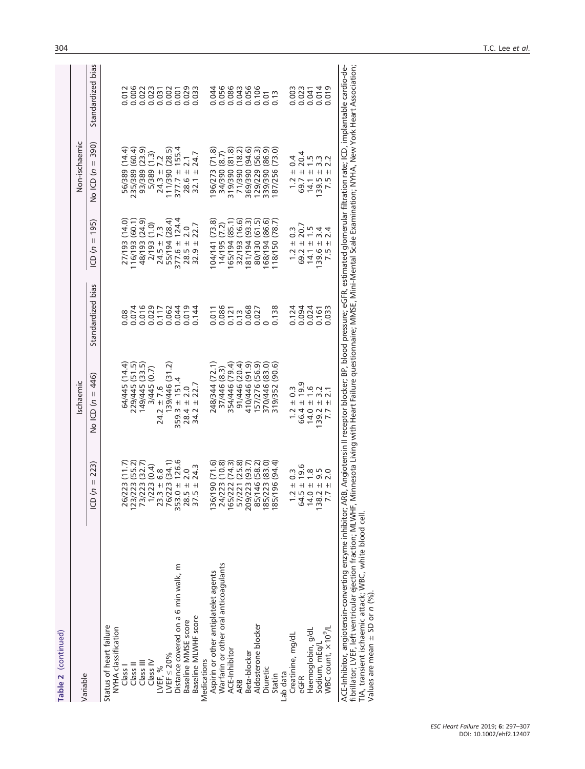Table 2 (continued) Table 2 (continued)

| Variable                                                                                                                                                                                  |                                                                                                                                       | Ischaemic                                                                                                   |                   |                                                      | Non-ischaemic                    |                    |
|-------------------------------------------------------------------------------------------------------------------------------------------------------------------------------------------|---------------------------------------------------------------------------------------------------------------------------------------|-------------------------------------------------------------------------------------------------------------|-------------------|------------------------------------------------------|----------------------------------|--------------------|
|                                                                                                                                                                                           | 223)<br>$\overline{z}$<br>$\Xi$                                                                                                       | 446)<br>No ICD $(n =$                                                                                       | Standardized bias | 195)<br>$\overline{CD}$ (n =                         | 390)<br>No ICD $(n =$            | Standardized bias  |
| Status of heart failure                                                                                                                                                                   |                                                                                                                                       |                                                                                                             |                   |                                                      |                                  |                    |
| NYHA classification                                                                                                                                                                       |                                                                                                                                       |                                                                                                             |                   |                                                      |                                  |                    |
| Class I                                                                                                                                                                                   | 26/223                                                                                                                                | 64/445 (14.4)                                                                                               | 0.08              | 27/193 (14.0)                                        | (14.4)<br>56/389                 | 0.012              |
| Class <sup>II</sup>                                                                                                                                                                       |                                                                                                                                       | 229/445 (51.5)                                                                                              | 0.074             | 116/193 (60.1                                        | 235/389 (60.4)                   | 0.006              |
| Class III                                                                                                                                                                                 | 123/223 (55.2)<br>73/223 (32.7)                                                                                                       | 149/445 (33.5)                                                                                              |                   | 48/193 (24.9)                                        | 93/389 (23.9)                    |                    |
| Class IV                                                                                                                                                                                  | 1/223(0.4)                                                                                                                            | 3/445 (0.7)                                                                                                 | 0.016             | 2/193 (1.0)                                          | (1.3)<br>5/389 (                 | 0.023              |
| LVEF, %                                                                                                                                                                                   |                                                                                                                                       | $24.2 \pm 7.6$                                                                                              | 0.117             | $24.5 \pm 7.3$                                       | 7.2<br>$24.3 +$                  | 0.031              |
| LVEF $\leq 20\%$                                                                                                                                                                          | $23.3 \pm 6.8$<br>76/223 (34.1)                                                                                                       | 139/446 (31.2)                                                                                              | 0.062             | 55/194 (28.4)                                        | 111/390 (28.5)                   |                    |
| Distance covered on a 6 min walk, m                                                                                                                                                       | 126.6                                                                                                                                 |                                                                                                             | 0.044             | 124.4<br>$377.6 \pm$                                 | 155.4<br>$377.7 \pm$             | $0.002$<br>$0.001$ |
| Baseline MMSE score                                                                                                                                                                       |                                                                                                                                       | $359.3 \pm 151.4$<br>$28.4 \pm 2.0$                                                                         | 0.019             | $28.5 \pm 2.0$                                       | $28.6 \pm$                       | 0.029              |
| Baseline MLWHF score                                                                                                                                                                      | $353.0 \pm 126.6$<br>$28.5 \pm 2.0$<br>$37.5 \pm 24.3$                                                                                | $34.2 \pm 22.7$                                                                                             | 0.144             | $32.9 \pm 22.7$                                      | 24.7<br>$32.1 \pm$               | 0.033              |
| Medications                                                                                                                                                                               |                                                                                                                                       |                                                                                                             |                   |                                                      |                                  |                    |
| Aspirin or other antiplatelet agents                                                                                                                                                      |                                                                                                                                       | 248/344 (72.1                                                                                               | 0.011             | 04/141 (73.8)                                        | (71.8)<br>96/273                 | 0.044              |
| Warfarin or other oral anticoagulants                                                                                                                                                     | (10.8)<br>136/190 (1<br>24/223 (165/22 (165/222 (165/222 (165/222 (165/222 (165/222 (165/222 (165/222 (165) (165) (165) (165) (165) ( | 37/446 (8.3)                                                                                                | 0.086             | 14/195(7.2)                                          | 34/390 (8.7)                     | 0.056              |
| ACE-Inhibitor                                                                                                                                                                             | (74.3)                                                                                                                                | 354/446 (79.4)                                                                                              | 0.121             | 65/194 (85.1)                                        | 319/390 (81.8)                   | 0.086              |
| <b>ARB</b>                                                                                                                                                                                | (25.8)                                                                                                                                | 91/446 (20.4)                                                                                               | 0.13              | 32/193 (16.6)                                        | 71/390 (18.2)                    | 0.043              |
| Beta-blocker                                                                                                                                                                              | 209/223 (93.7)                                                                                                                        | 410/446 (91.9)                                                                                              | 0.068             | 81/194 (93.3)                                        | 369/390 (94.6)                   | 0.056              |
| Aldosterone blocker                                                                                                                                                                       | 85/146 (58.2)                                                                                                                         | 57/276 (56.9)                                                                                               | 0.027             | 80/130 (61.5)                                        | 129/229 (56.3)                   | 0.106              |
| Diuretic                                                                                                                                                                                  | (83.0)<br>185/223                                                                                                                     | 370/446 (83.0)                                                                                              |                   | 168/194 (86.6)                                       | 339/390 (86.9)                   | 0.01               |
| Statin                                                                                                                                                                                    | 185/196 (94.4)                                                                                                                        | (90.6)<br>319/352                                                                                           | 0.138             | 118/150 (78.7)                                       | (73.0)<br>187/256                | 0.13               |
| Lab data                                                                                                                                                                                  |                                                                                                                                       |                                                                                                             |                   |                                                      |                                  |                    |
| Creatinine, mg/dL                                                                                                                                                                         |                                                                                                                                       | $\begin{array}{c} 1.2 \pm 0.3 \\ 66.4 \pm 19.9 \\ 14.0 \pm 1.6 \\ 139.2 \pm 3.2 \\ 7.7 \pm 2.1 \end{array}$ | 0.124             | $1.2 \pm 0.3$                                        | $1.2 \pm 0.4$<br>69.7 ± 20.4     | 0.003              |
| eGFR                                                                                                                                                                                      |                                                                                                                                       |                                                                                                             | 0.094             |                                                      |                                  | 0.023              |
| Haemoglobin, g/dL                                                                                                                                                                         |                                                                                                                                       |                                                                                                             | 0.024             | $69.2 \pm 20.7$<br>14.1 $\pm$ 1.5<br>139.6 $\pm$ 3.4 | 1.5<br>$14.1 \pm 1.39.5 \pm 1.5$ | 0.041              |
| Sodium, mEq/L                                                                                                                                                                             |                                                                                                                                       |                                                                                                             | 0.161             |                                                      | $3.\overline{3}$                 |                    |
| WBC count, $\times 10^9$ /L                                                                                                                                                               | $\begin{array}{c} 1.2 \pm 0.3 \\ 64.5 \pm 19.6 \\ 14.0 \pm 1.8 \\ 138.2 \pm 9.5 \\ 7.7 \pm 2.0 \end{array}$                           |                                                                                                             | 0.033             | 2.4<br>$^{+}$<br>LU.                                 | 2.2<br>$\pm$                     | 0.014              |
| ACE-Inhibitor, angiotensin-converting enzyme inhibitor; ARB, Angiotensin II receptor blocker; BP, blood pressure; eGFR, estimated glomerular filtration rate; ICD, implantable cardio-de- |                                                                                                                                       |                                                                                                             |                   |                                                      |                                  |                    |

fibrillator: LVEF, left ventricular ejection fraction; ML/WHF, Minnesota Living with Heart Failure questionnaire; MMSE, Mini-Mental Scale Examination; NYHA, New York Heart Association;<br>TlA, transient ischaemic attack; WBC, fibrillator; LVEF, left ventricular ejection fraction; MLWHF, Minnesota Living with Heart Failure questionnaire; MMSE, Mini-Mental Scale Examination; NYHA, New York Heart Association; TIA, transient ischaemic attack; WBC, white blood cell. Values are mean  $\pm$  SD or n (%).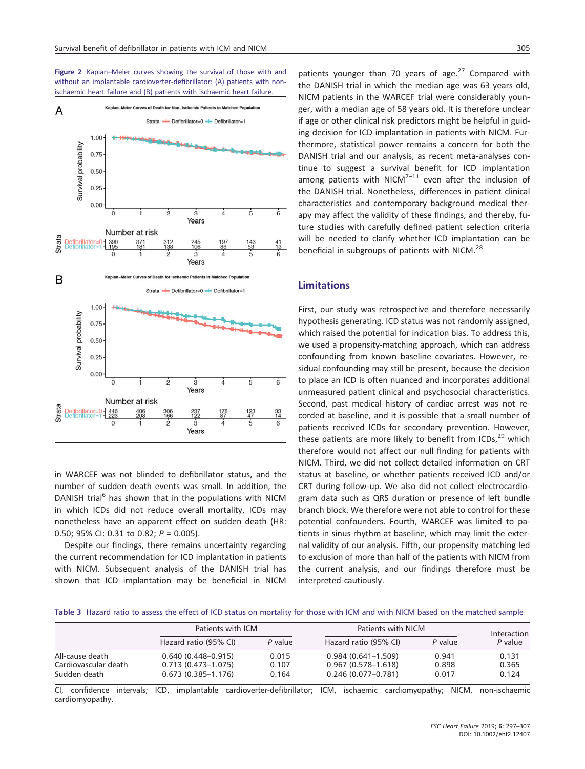Figure 2 Kaplan–Meier curves showing the survival of those with and without an implantable cardioverter-defibrillator: (A) patients with nonischaemic heart failure and (B) patients with ischaemic heart failure.



in WARCEF was not blinded to defibrillator status, and the number of sudden death events was small. In addition, the DANISH trial<sup>6</sup> has shown that in the populations with NICM in which ICDs did not reduce overall mortality, ICDs may nonetheless have an apparent effect on sudden death (HR: 0.50; 95% CI: 0.31 to 0.82;  $P = 0.005$ ).

Despite our findings, there remains uncertainty regarding the current recommendation for ICD implantation in patients with NICM. Subsequent analysis of the DANISH trial has shown that ICD implantation may be beneficial in NICM

patients younger than 70 years of age. $27$  Compared with the DANISH trial in which the median age was 63 years old, NICM patients in the WARCEF trial were considerably younger, with a median age of 58 years old. It is therefore unclear if age or other clinical risk predictors might be helpful in guiding decision for ICD implantation in patients with NICM. Furthermore, statistical power remains a concern for both the DANISH trial and our analysis, as recent meta-analyses continue to suggest a survival benefit for ICD implantation among patients with NICM $^{7-11}$  even after the inclusion of the DANISH trial. Nonetheless, differences in patient clinical characteristics and contemporary background medical therapy may affect the validity of these findings, and thereby, future studies with carefully defined patient selection criteria will be needed to clarify whether ICD implantation can be beneficial in subgroups of patients with NICM.<sup>28</sup>

#### Limitations

First, our study was retrospective and therefore necessarily hypothesis generating. ICD status was not randomly assigned, which raised the potential for indication bias. To address this, we used a propensity-matching approach, which can address confounding from known baseline covariates. However, residual confounding may still be present, because the decision to place an ICD is often nuanced and incorporates additional unmeasured patient clinical and psychosocial characteristics. Second, past medical history of cardiac arrest was not recorded at baseline, and it is possible that a small number of patients received ICDs for secondary prevention. However, these patients are more likely to benefit from  $ICDs<sub>1</sub><sup>29</sup>$  which therefore would not affect our null finding for patients with NICM. Third, we did not collect detailed information on CRT status at baseline, or whether patients received ICD and/or CRT during follow-up. We also did not collect electrocardiogram data such as QRS duration or presence of left bundle branch block. We therefore were not able to control for these potential confounders. Fourth, WARCEF was limited to patients in sinus rhythm at baseline, which may limit the external validity of our analysis. Fifth, our propensity matching led to exclusion of more than half of the patients with NICM from the current analysis, and our findings therefore must be interpreted cautiously.

Table 3 Hazard ratio to assess the effect of ICD status on mortality for those with ICM and with NICM based on the matched sample

|                                                         | Patients with ICM                                                          |                         | Patients with NICM                                                         |                         | Interaction             |
|---------------------------------------------------------|----------------------------------------------------------------------------|-------------------------|----------------------------------------------------------------------------|-------------------------|-------------------------|
|                                                         | Hazard ratio (95% CI)                                                      | P value                 | Hazard ratio (95% CI)                                                      | P value                 | P value                 |
| All-cause death<br>Cardiovascular death<br>Sudden death | $0.640(0.448 - 0.915)$<br>$0.713(0.473 - 1.075)$<br>$0.673(0.385 - 1.176)$ | 0.015<br>0.107<br>0.164 | $0.984(0.641 - 1.509)$<br>$0.967(0.578 - 1.618)$<br>$0.246(0.077 - 0.781)$ | 0.941<br>0.898<br>0.017 | 0.131<br>0.365<br>0.124 |

CI, confidence intervals; ICD, implantable cardioverter-defibrillator; ICM, ischaemic cardiomyopathy; NICM, non-ischaemic cardiomyopathy.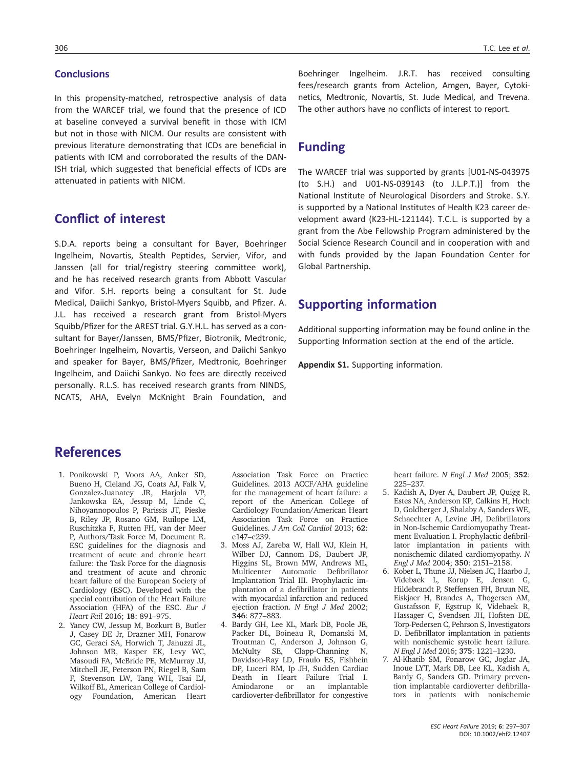#### **Conclusions**

In this propensity-matched, retrospective analysis of data from the WARCEF trial, we found that the presence of ICD at baseline conveyed a survival benefit in those with ICM but not in those with NICM. Our results are consistent with previous literature demonstrating that ICDs are beneficial in patients with ICM and corroborated the results of the DAN-ISH trial, which suggested that beneficial effects of ICDs are attenuated in patients with NICM.

## Conflict of interest

S.D.A. reports being a consultant for Bayer, Boehringer Ingelheim, Novartis, Stealth Peptides, Servier, Vifor, and Janssen (all for trial/registry steering committee work), and he has received research grants from Abbott Vascular and Vifor. S.H. reports being a consultant for St. Jude Medical, Daiichi Sankyo, Bristol-Myers Squibb, and Pfizer. A. J.L. has received a research grant from Bristol-Myers Squibb/Pfizer for the AREST trial. G.Y.H.L. has served as a consultant for Bayer/Janssen, BMS/Pfizer, Biotronik, Medtronic, Boehringer Ingelheim, Novartis, Verseon, and Daiichi Sankyo and speaker for Bayer, BMS/Pfizer, Medtronic, Boehringer Ingelheim, and Daiichi Sankyo. No fees are directly received personally. R.L.S. has received research grants from NINDS, NCATS, AHA, Evelyn McKnight Brain Foundation, and

Boehringer Ingelheim. J.R.T. has received consulting fees/research grants from Actelion, Amgen, Bayer, Cytokinetics, Medtronic, Novartis, St. Jude Medical, and Trevena. The other authors have no conflicts of interest to report.

## Funding

The WARCEF trial was supported by grants [U01-NS-043975 (to S.H.) and U01-NS-039143 (to J.L.P.T.)] from the National Institute of Neurological Disorders and Stroke. S.Y. is supported by a National Institutes of Health K23 career development award (K23-HL-121144). T.C.L. is supported by a grant from the Abe Fellowship Program administered by the Social Science Research Council and in cooperation with and with funds provided by the Japan Foundation Center for Global Partnership.

## Supporting information

Additional supporting information may be found online in the Supporting Information section at the end of the article.

Appendix S1. Supporting information.

## References

- 1. Ponikowski P, Voors AA, Anker SD, Bueno H, Cleland JG, Coats AJ, Falk V, Gonzalez-Juanatey JR, Harjola VP, Jankowska EA, Jessup M, Linde C, Nihoyannopoulos P, Parissis JT, Pieske B, Riley JP, Rosano GM, Ruilope LM, Ruschitzka F, Rutten FH, van der Meer P, Authors/Task Force M, Document R. ESC guidelines for the diagnosis and treatment of acute and chronic heart failure: the Task Force for the diagnosis and treatment of acute and chronic heart failure of the European Society of Cardiology (ESC). Developed with the special contribution of the Heart Failure Association (HFA) of the ESC. Eur J Heart Fail 2016; 18: 891–975.
- 2. Yancy CW, Jessup M, Bozkurt B, Butler J, Casey DE Jr, Drazner MH, Fonarow GC, Geraci SA, Horwich T, Januzzi JL, Johnson MR, Kasper EK, Levy WC, Masoudi FA, McBride PE, McMurray JJ, Mitchell JE, Peterson PN, Riegel B, Sam F, Stevenson LW, Tang WH, Tsai EJ, Wilkoff BL, American College of Cardiology Foundation, American Heart

Association Task Force on Practice Guidelines. 2013 ACCF/AHA guideline for the management of heart failure: a report of the American College of Cardiology Foundation/American Heart Association Task Force on Practice Guidelines. J Am Coll Cardiol 2013; 62: e147–e239.

- 3. Moss AJ, Zareba W, Hall WJ, Klein H, Wilber DJ, Cannom DS, Daubert JP, Higgins SL, Brown MW, Andrews ML, Multicenter Automatic Defibrillator Implantation Trial III. Prophylactic implantation of a defibrillator in patients with myocardial infarction and reduced ejection fraction. N Engl J Med 2002; 346: 877–883.
- 4. Bardy GH, Lee KL, Mark DB, Poole JE, Packer DL, Boineau R, Domanski M, Troutman C, Anderson J, Johnson G, McNulty SE, Clapp-Channing N, Davidson-Ray LD, Fraulo ES, Fishbein DP, Luceri RM, Ip JH, Sudden Cardiac Death in Heart Failure Trial I. Amiodarone or an implantable cardioverter-defibrillator for congestive

heart failure. N Engl J Med 2005; 352: 225–237.

- 5. Kadish A, Dyer A, Daubert JP, Quigg R, Estes NA, Anderson KP, Calkins H, Hoch D, Goldberger J, Shalaby A, Sanders WE, Schaechter A, Levine JH, Defibrillators in Non-Ischemic Cardiomyopathy Treatment Evaluation I. Prophylactic defibrillator implantation in patients with nonischemic dilated cardiomyopathy. N Engl J Med 2004; 350: 2151–2158.
- 6. Kober L, Thune JJ, Nielsen JC, Haarbo J, Videbaek L, Korup E, Jensen G, Hildebrandt P, Steffensen FH, Bruun NE, Eiskjaer H, Brandes A, Thogersen AM, Gustafsson F, Egstrup K, Videbaek R, Hassager C, Svendsen JH, Hofsten DE, Torp-Pedersen C, Pehrson S, Investigators D. Defibrillator implantation in patients with nonischemic systolic heart failure. N Engl J Med 2016; 375: 1221–1230.
- 7. Al-Khatib SM, Fonarow GC, Joglar JA, Inoue LYT, Mark DB, Lee KL, Kadish A, Bardy G, Sanders GD. Primary prevention implantable cardioverter defibrillators in patients with nonischemic